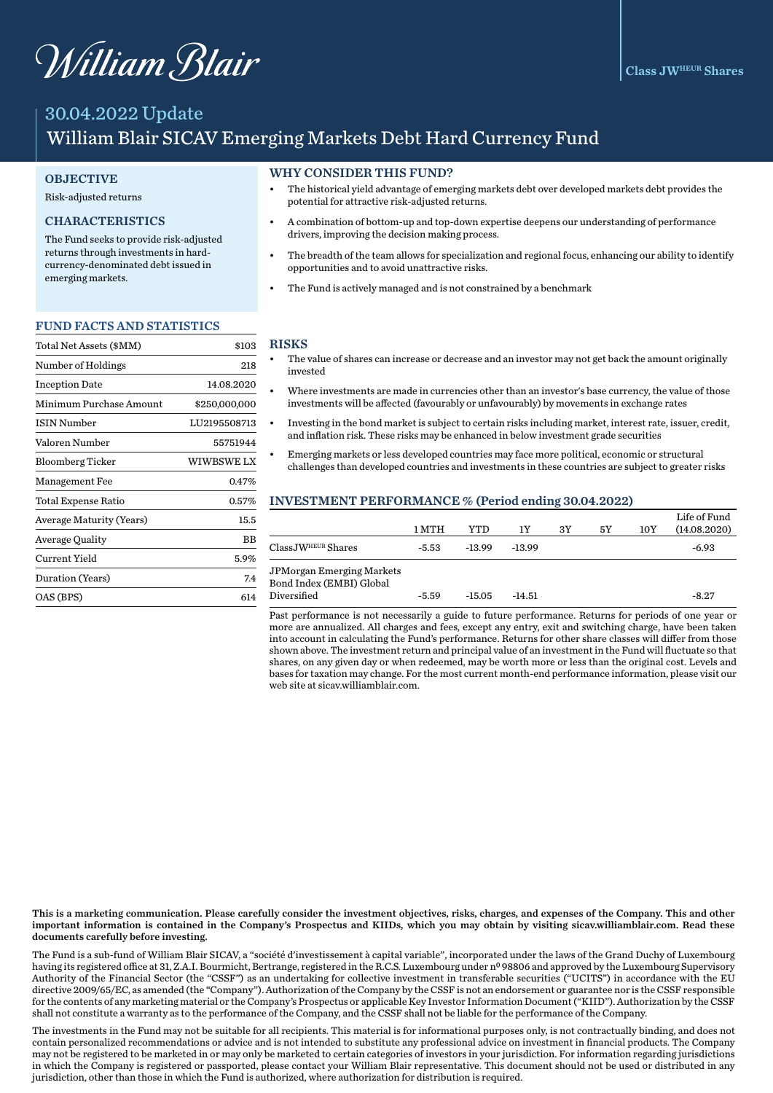# William Blair

# 30.04.2022 Update William Blair SICAV Emerging Markets Debt Hard Currency Fund

#### **OBJECTIVE**

#### Risk-adjusted returns

# CHARACTERISTICS

The Fund seeks to provide risk-adjusted returns through investments in hardcurrency-denominated debt issued in emerging markets.

#### FUND FACTS AND STATISTICS

| Total Net Assets (\$MM)    | \$103         |
|----------------------------|---------------|
| Number of Holdings         | 218           |
| <b>Inception Date</b>      | 14.08.2020    |
| Minimum Purchase Amount    | \$250,000,000 |
| ISIN Number                | LU2195508713  |
| Valoren Number             | 55751944      |
| <b>Bloomberg Ticker</b>    | WIWBSWE LX    |
| <b>Management Fee</b>      | 0.47%         |
| <b>Total Expense Ratio</b> | 0.57%         |
| Average Maturity (Years)   | 15.5          |
| Average Quality            | ВB            |
| Current Yield              | 5.9%          |
| Duration (Years)           | 7.4           |
| OAS (BPS)                  | 614           |

#### WHY CONSIDER THIS FUND?

- The historical yield advantage of emerging markets debt over developed markets debt provides the potential for attractive risk-adjusted returns.
- A combination of bottom-up and top-down expertise deepens our understanding of performance drivers, improving the decision making process.
- The breadth of the team allows for specialization and regional focus, enhancing our ability to identify opportunities and to avoid unattractive risks.
- The Fund is actively managed and is not constrained by a benchmark

#### RISKS

- The value of shares can increase or decrease and an investor may not get back the amount originally invested
- Where investments are made in currencies other than an investor's base currency, the value of those investments will be affected (favourably or unfavourably) by movements in exchange rates
- Investing in the bond market is subject to certain risks including market, interest rate, issuer, credit, and inflation risk. These risks may be enhanced in below investment grade securities
- Emerging markets or less developed countries may face more political, economic or structural challenges than developed countries and investments in these countries are subject to greater risks

#### INVESTMENT PERFORMANCE % (Period ending 30.04.2022)

|                                                                             | 1 MTH   | YTD      | 1Y       | 3Y | 5Υ | 10Y | Life of Fund<br>(14.08.2020) |
|-----------------------------------------------------------------------------|---------|----------|----------|----|----|-----|------------------------------|
| $ClassJWHEUR$ Shares                                                        | -5.53   | $-13.99$ | $-13.99$ |    |    |     | $-6.93$                      |
| <b>JPMorgan Emerging Markets</b><br>Bond Index (EMBI) Global<br>Diversified | $-5.59$ | $-15.05$ | $-14.51$ |    |    |     | $-8.27$                      |

Past performance is not necessarily a guide to future performance. Returns for periods of one year or more are annualized. All charges and fees, except any entry, exit and switching charge, have been taken into account in calculating the Fund's performance. Returns for other share classes will differ from those shown above. The investment return and principal value of an investment in the Fund will fluctuate so that shares, on any given day or when redeemed, may be worth more or less than the original cost. Levels and bases for taxation may change. For the most current month-end performance information, please visit our web site at sicav.williamblair.com.

This is a marketing communication. Please carefully consider the investment objectives, risks, charges, and expenses of the Company. This and other important information is contained in the Company's Prospectus and KIIDs, which you may obtain by visiting sicav.williamblair.com. Read these documents carefully before investing.

The Fund is a sub-fund of William Blair SICAV, a "société d'investissement à capital variable", incorporated under the laws of the Grand Duchy of Luxembourg having its registered office at 31, Z.A.I. Bourmicht, Bertrange, registered in the R.C.S. Luxembourg under nº 98806 and approved by the Luxembourg Supervisory Authority of the Financial Sector (the "CSSF") as an undertaking for collective investment in transferable securities ("UCITS") in accordance with the EU directive 2009/65/EC, as amended (the "Company"). Authorization of the Company by the CSSF is not an endorsement or guarantee nor is the CSSF responsible for the contents of any marketing material or the Company's Prospectus or applicable Key Investor Information Document ("KIID"). Authorization by the CSSF shall not constitute a warranty as to the performance of the Company, and the CSSF shall not be liable for the performance of the Company.

The investments in the Fund may not be suitable for all recipients. This material is for informational purposes only, is not contractually binding, and does not contain personalized recommendations or advice and is not intended to substitute any professional advice on investment in financial products. The Company may not be registered to be marketed in or may only be marketed to certain categories of investors in your jurisdiction. For information regarding jurisdictions in which the Company is registered or passported, please contact your William Blair representative. This document should not be used or distributed in any jurisdiction, other than those in which the Fund is authorized, where authorization for distribution is required.